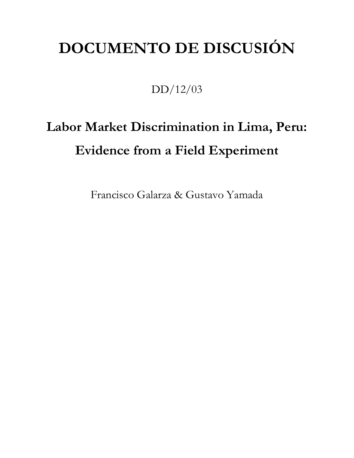## **DOCUMENTO DE DISCUSIÓN**

## DD/12/03

# **Labor Market Discrimination in Lima, Peru: Evidence from a Field Experiment**

Francisco Galarza & Gustavo Yamada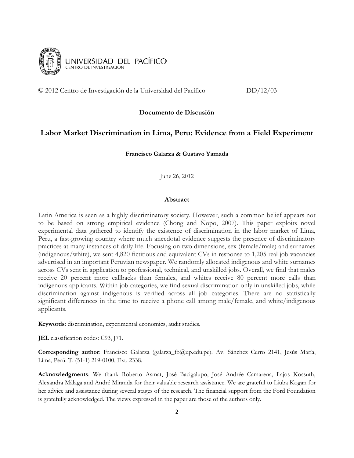

© 2012 Centro de Investigación de la Universidad del Pacífico DD/12/03

#### **Documento de Discusión**

#### **Labor Market Discrimination in Lima, Peru: Evidence from a Field Experiment**

**Francisco Galarza & Gustavo Yamada**

June 26, 2012

#### **Abstract**

Latin America is seen as a highly discriminatory society. However, such a common belief appears not to be based on strong empirical evidence (Chong and Ñopo, 2007). This paper exploits novel experimental data gathered to identify the existence of discrimination in the labor market of Lima, Peru, a fast-growing country where much anecdotal evidence suggests the presence of discriminatory practices at many instances of daily life. Focusing on two dimensions, sex (female/male) and surnames (indigenous/white), we sent 4,820 fictitious and equivalent CVs in response to 1,205 real job vacancies advertised in an important Peruvian newspaper. We randomly allocated indigenous and white surnames across CVs sent in application to professional, technical, and unskilled jobs. Overall, we find that males receive 20 percent more callbacks than females, and whites receive 80 percent more calls than indigenous applicants. Within job categories, we find sexual discrimination only in unskilled jobs, while discrimination against indigenous is verified across all job categories. There are no statistically significant differences in the time to receive a phone call among male/female, and white/indigenous applicants.

**Keywords**: discrimination, experimental economics, audit studies.

**JEL** classification codes: C93, J71.

**Corresponding author**: Francisco Galarza (galarza\_fb@up.edu.pe). Av. Sánchez Cerro 2141, Jesús María, Lima, Perú. T: (51-1) 219-0100, Ext. 2338.

**Acknowledgments**: We thank Roberto Asmat, José Bacigalupo, José Andrée Camarena, Lajos Kossuth, Alexandra Málaga and André Miranda for their valuable research assistance. We are grateful to Liuba Kogan for her advice and assistance during several stages of the research. The financial support from the Ford Foundation is gratefully acknowledged. The views expressed in the paper are those of the authors only.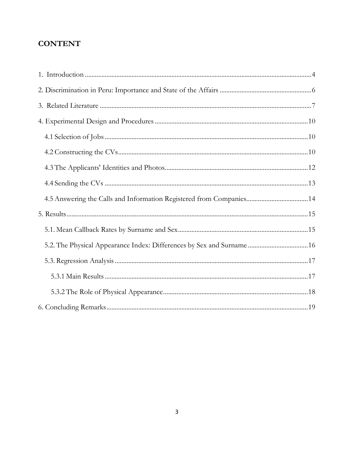## **CONTENT**

| 4.5 Answering the Calls and Information Registered from Companies 14  |  |
|-----------------------------------------------------------------------|--|
|                                                                       |  |
|                                                                       |  |
| 5.2. The Physical Appearance Index: Differences by Sex and Surname 16 |  |
|                                                                       |  |
|                                                                       |  |
|                                                                       |  |
|                                                                       |  |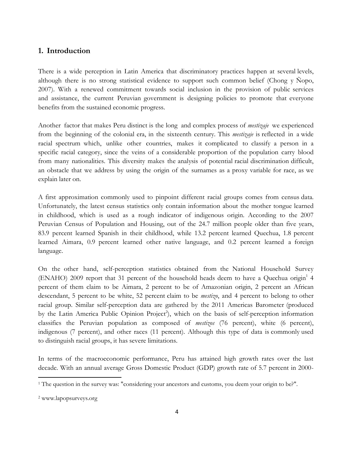#### <span id="page-3-0"></span>**1. Introduction**

There is a wide perception in Latin America that discriminatory practices happen at several levels, although there is no strong statistical evidence to support such common belief (Chong y Ñopo, 2007). With a renewed commitment towards social inclusion in the provision of public services and assistance, the current Peruvian government is designing policies to promote that everyone benefits from the sustained economic progress.

Another factor that makes Peru distinct is the long and complex process of *mestizaje* we experienced from the beginning of the colonial era, in the sixteenth century. This *mestizaje* is reflected in a wide racial spectrum which, unlike other countries, makes it complicated to classify a person in a specific racial category, since the veins of a considerable proportion of the population carry blood from many nationalities. This diversity makes the analysis of potential racial discrimination difficult, an obstacle that we address by using the origin of the surnames as a proxy variable for race, as we explain later on.

A first approximation commonly used to pinpoint different racial groups comes from census data. Unfortunately, the latest census statistics only contain information about the mother tongue learned in childhood, which is used as a rough indicator of indigenous origin. According to the 2007 Peruvian Census of Population and Housing, out of the 24.7 million people older than five years, 83.9 percent learned Spanish in their childhood, while 13.2 percent learned Quechua, 1.8 percent learned Aimara, 0.9 percent learned other native language, and 0.2 percent learned a foreign language.

On the other hand, self-perception statistics obtained from the National Household Survey (ENAHO) 2009 report that 31 percent of the household heads deem to have a Quechua origin 1 4 percent of them claim to be Aimara, 2 percent to be of Amazonian origin, 2 percent an African descendant, 5 percent to be white, 52 percent claim to be *mestizo*, and 4 percent to belong to other racial group. Similar self-perception data are gathered by the 2011 Americas Barometer (produced by the Latin America Public Opinion Project<sup>2</sup>), which on the basis of self-perception information classifies the Peruvian population as composed of *mestizos* (76 percent), white (6 percent), indigenous (7 percent), and other races (11 percent). Although this type of data is commonly used to distinguish racial groups, it has severe limitations.

In terms of the macroeconomic performance, Peru has attained high growth rates over the last decade. With an annual average Gross Domestic Product (GDP) growth rate of 5.7 percent in 2000-

 $\overline{a}$ 

<sup>&</sup>lt;sup>1</sup> The question in the survey was: "considering your ancestors and customs, you deem your origin to be?".

<sup>2</sup> www.lapopsurveys.org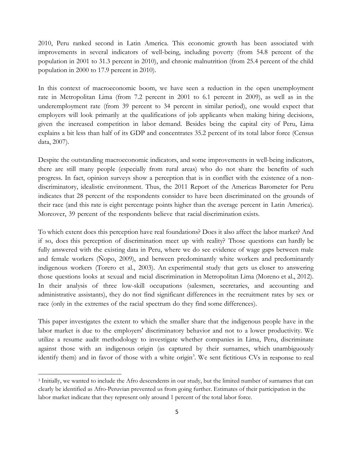2010, Peru ranked second in Latin America. This economic growth has been associated with improvements in several indicators of well-being, including poverty (from 54.8 percent of the population in 2001 to 31.3 percent in 2010), and chronic malnutrition (from 25.4 percent of the child population in 2000 to 17.9 percent in 2010).

In this context of macroeconomic boom, we have seen a reduction in the open unemployment rate in Metropolitan Lima (from 7.2 percent in 2001 to 6.1 percent in 2009), as well as in the underemployment rate (from 39 percent to 34 percent in similar period), one would expect that employers will look primarily at the qualifications of job applicants when making hiring decisions, given the increased competition in labor demand. Besides being the capital city of Peru, Lima explains a bit less than half of its GDP and concentrates 35.2 percent of its total labor force (Census data, 2007).

Despite the outstanding macroeconomic indicators, and some improvements in well-being indicators, there are still many people (especially from rural areas) who do not share the benefits of such progress. In fact, opinion surveys show a perception that is in conflict with the existence of a nondiscriminatory, idealistic environment. Thus, the 2011 Report of the Americas Barometer for Peru indicates that 28 percent of the respondents consider to have been discriminated on the grounds of their race (and this rate is eight percentage points higher than the average percent in Latin America). Moreover, 39 percent of the respondents believe that racial discrimination exists.

To which extent does this perception have real foundations? Does it also affect the labor market? And if so, does this perception of discrimination meet up with reality? Those questions can hardly be fully answered with the existing data in Peru, where we do see evidence of wage gaps between male and female workers (Ñopo, 2009), and between predominantly white workers and predominantly indigenous workers (Torero et al., 2003). An experimental study that gets us closer to answering those questions looks at sexual and racial discrimination in Metropolitan Lima (Moreno et al., 2012). In their analysis of three low-skill occupations (salesmen, secretaries, and accounting and administrative assistants), they do not find significant differences in the recruitment rates by sex or race (only in the extremes of the racial spectrum do they find some differences).

This paper investigates the extent to which the smaller share that the indigenous people have in the labor market is due to the employers' discriminatory behavior and not to a lower productivity. We utilize a resume audit methodology to investigate whether companies in Lima, Peru, discriminate against those with an indigenous origin (as captured by their surnames, which unambiguously identify them) and in favor of those with a white origin<sup>3</sup>. We sent fictitious CVs in response to real

 $\overline{a}$ 

<sup>3</sup> Initially, we wanted to include the Afro descendents in our study, but the limited number of surnames that can clearly be identified as Afro-Peruvian prevented us from going further. Estimates of their participation in the labor market indicate that they represent only around 1 percent of the total labor force.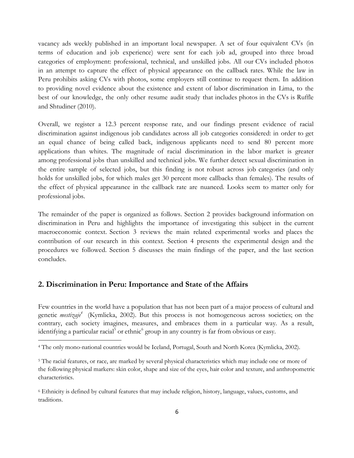vacancy ads weekly published in an important local newspaper. A set of four equivalent CVs (in terms of education and job experience) were sent for each job ad, grouped into three broad categories of employment: professional, technical, and unskilled jobs. All our CVs included photos in an attempt to capture the effect of physical appearance on the callback rates. While the law in Peru prohibits asking CVs with photos, some employers still continue to request them. In addition to providing novel evidence about the existence and extent of labor discrimination in Lima, to the best of our knowledge, the only other resume audit study that includes photos in the CVs is Ruffle and Shtudiner (2010).

Overall, we register a 12.3 percent response rate, and our findings present evidence of racial discrimination against indigenous job candidates across all job categories considered: in order to get an equal chance of being called back, indigenous applicants need to send 80 percent more applications than whites. The magnitude of racial discrimination in the labor market is greater among professional jobs than unskilled and technical jobs. We further detect sexual discrimination in the entire sample of selected jobs, but this finding is not robust across job categories (and only holds for unskilled jobs, for which males get 30 percent more callbacks than females). The results of the effect of physical appearance in the callback rate are nuanced. Looks seem to matter only for professional jobs.

The remainder of the paper is organized as follows. Section 2 provides background information on discrimination in Peru and highlights the importance of investigating this subject in the current macroeconomic context. Section 3 reviews the main related experimental works and places the contribution of our research in this context. Section 4 presents the experimental design and the procedures we followed. Section 5 discusses the main findings of the paper, and the last section concludes.

#### <span id="page-5-0"></span>**2. Discrimination in Peru: Importance and State of the Affairs**

l

Few countries in the world have a population that has not been part of a major process of cultural and genetic *mestizaje<sup>4</sup>* (Kymlicka, 2002). But this process is not homogeneous across societies; on the contrary, each society imagines, measures, and embraces them in a particular way. As a result, identifying a particular racial<sup>5</sup> or ethnic<sup>6</sup> group in any country is far from obvious or easy.

<sup>4</sup> The only mono-national countries would be Iceland, Portugal, South and North Korea (Kymlicka, 2002).

<sup>&</sup>lt;sup>5</sup> The racial features, or race, are marked by several physical characteristics which may include one or more of the following physical markers: skin color, shape and size of the eyes, hair color and texture, and anthropometric characteristics.

<sup>6</sup> Ethnicity is defined by cultural features that may include religion, history, language, values, customs, and traditions.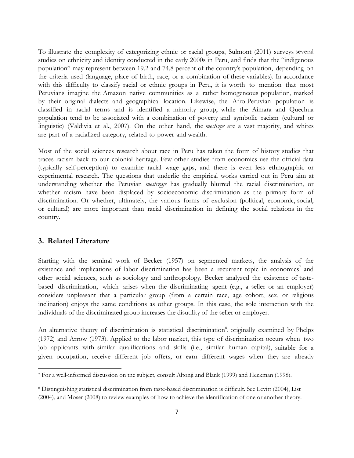To illustrate the complexity of categorizing ethnic or racial groups, Sulmont (2011) surveys several studies on ethnicity and identity conducted in the early 2000s in Peru, and finds that the "indigenous population" may represent between 19.2 and 74.8 percent of the country's population, depending on the criteria used (language, place of birth, race, or a combination of these variables). In accordance with this difficulty to classify racial or ethnic groups in Peru, it is worth to mention that most Peruvians imagine the Amazon native communities as a rather homogeneous population, marked by their original dialects and geographical location. Likewise, the Afro-Peruvian population is classified in racial terms and is identified a minority group, while the Aimara and Quechua population tend to be associated with a combination of poverty and symbolic racism (cultural or linguistic) (Valdivia et al., 2007). On the other hand, the *mestizos* are a vast majority, and whites are part of a racialized category, related to power and wealth.

Most of the social sciences research about race in Peru has taken the form of history studies that traces racism back to our colonial heritage. Few other studies from economics use the official data (typically self-perception) to examine racial wage gaps, and there is even less ethnographic or experimental research. The questions that underlie the empirical works carried out in Peru aim at understanding whether the Peruvian *mestizaje* has gradually blurred the racial discrimination, or whether racism have been displaced by socioeconomic discrimination as the primary form of discrimination. Or whether, ultimately, the various forms of exclusion (political, economic, social, or cultural) are more important than racial discrimination in defining the social relations in the country.

#### <span id="page-6-0"></span>**3. Related Literature**

 $\overline{\phantom{a}}$ 

Starting with the seminal work of Becker (1957) on segmented markets, the analysis of the existence and implications of labor discrimination has been a recurrent topic in economics<sup>7</sup> and other social sciences, such as sociology and anthropology. Becker analyzed the existence of tastebased discrimination, which arises when the discriminating agent (e.g., a seller or an employer) considers unpleasant that a particular group (from a certain race, age cohort, sex, or religious inclination) enjoys the same conditions as other groups. In this case, the sole interaction with the individuals of the discriminated group increases the disutility of the seller or employer.

An alternative theory of discrimination is statistical discrimination<sup>8</sup>, originally examined by Phelps (1972) and Arrow (1973). Applied to the labor market, this type of discrimination occurs when two job applicants with similar qualifications and skills (i.e., similar human capital), suitable for a given occupation, receive different job offers, or earn different wages when they are already

<sup>7</sup> For a well-informed discussion on the subject, consult Altonji and Blank (1999) and Heckman (1998).

<sup>8</sup> Distinguishing statistical discrimination from taste-based discrimination is difficult. See Levitt (2004), List (2004), and Moser (2008) to review examples of how to achieve the identification of one or another theory.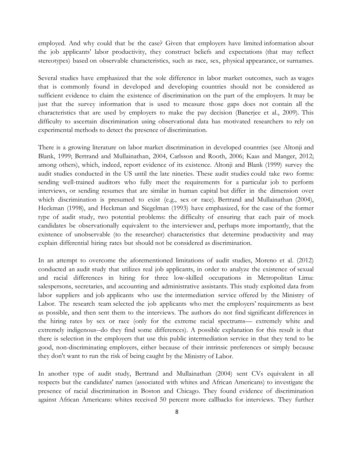employed. And why could that be the case? Given that employers have limited information about the job applicants' labor productivity, they construct beliefs and expectations (that may reflect stereotypes) based on observable characteristics, such as race, sex, physical appearance, or surnames.

Several studies have emphasized that the sole difference in labor market outcomes, such as wages that is commonly found in developed and developing countries should not be considered as sufficient evidence to claim the existence of discrimination on the part of the employers. It may be just that the survey information that is used to measure those gaps does not contain all the characteristics that are used by employers to make the pay decision (Banerjee et al., 2009). This difficulty to ascertain discrimination using observational data has motivated researchers to rely on experimental methods to detect the presence of discrimination.

There is a growing literature on labor market discrimination in developed countries (see Altonji and Blank, 1999; Bertrand and Mullainathan, 2004, Carlsson and Rooth, 2006; Kaas and Manger, 2012; among others), which, indeed, report evidence of its existence. Altonji and Blank (1999) survey the audit studies conducted in the US until the late nineties. These audit studies could take two forms: sending well-trained auditors who fully meet the requirements for a particular job to perform interviews, or sending resumes that are similar in human capital but differ in the dimension over which discrimination is presumed to exist (e.g., sex or race). Bertrand and Mullainathan (2004), Heckman (1998), and Heckman and Siegelman (1993) have emphasized, for the case of the former type of audit study, two potential problems: the difficulty of ensuring that each pair of mock candidates be observationally equivalent to the interviewer and, perhaps more importantly, that the existence of unobservable (to the researcher) characteristics that determine productivity and may explain differential hiring rates but should not be considered as discrimination.

In an attempt to overcome the aforementioned limitations of audit studies, Moreno et al. (2012) conducted an audit study that utilizes real job applicants, in order to analyze the existence of sexual and racial differences in hiring for three low-skilled occupations in Metropolitan Lima: salespersons, secretaries, and accounting and administrative assistants. This study exploited data from labor suppliers and job applicants who use the intermediation service offered by the Ministry of Labor. The research team selected the job applicants who met the employers' requirements as best as possible, and then sent them to the interviews. The authors do not find significant differences in the hiring rates by sex or race (only for the extreme racial spectrums— extremely white and extremely indigenous--do they find some differences). A possible explanation for this result is that there is selection in the employers that use this public intermediation service in that they tend to be good, non-discriminating employers, either because of their intrinsic preferences or simply because they don't want to run the risk of being caught by the Ministry of Labor.

In another type of audit study, Bertrand and Mullainathan (2004) sent CVs equivalent in all respects but the candidates' names (associated with whites and African Americans) to investigate the presence of racial discrimination in Boston and Chicago. They found evidence of discrimination against African Americans: whites received 50 percent more callbacks for interviews. They further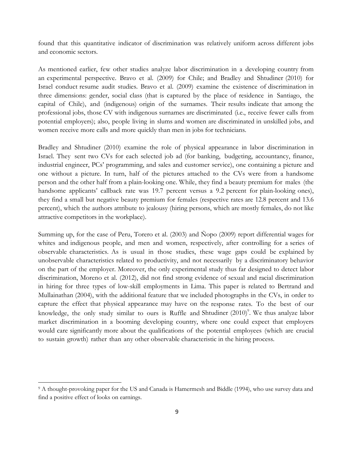found that this quantitative indicator of discrimination was relatively uniform across different jobs and economic sectors.

As mentioned earlier, few other studies analyze labor discrimination in a developing country from an experimental perspective. Bravo et al. (2009) for Chile; and Bradley and Shtudiner (2010) for Israel conduct resume audit studies. Bravo et al. (2009) examine the existence of discrimination in three dimensions: gender, social class (that is captured by the place of residence in Santiago, the capital of Chile), and (indigenous) origin of the surnames. Their results indicate that among the professional jobs, those CV with indigenous surnames are discriminated (i.e., receive fewer calls from potential employers); also, people living in slums and women are discriminated in unskilled jobs, and women receive more calls and more quickly than men in jobs for technicians.

Bradley and Shtudiner (2010) examine the role of physical appearance in labor discrimination in Israel. They sent two CVs for each selected job ad (for banking, budgeting, accountancy, finance, industrial engineer, PCs" programming, and sales and customer service), one containing a picture and one without a picture. In turn, half of the pictures attached to the CVs were from a handsome person and the other half from a plain-looking one. While, they find a beauty premium for males (the handsome applicants' callback rate was 19.7 percent versus a 9.2 percent for plain-looking ones), they find a small but negative beauty premium for females (respective rates are 12.8 percent and 13.6 percent), which the authors attribute to jealousy (hiring persons, which are mostly females, do not like attractive competitors in the workplace).

Summing up, for the case of Peru, Torero et al. (2003) and Ñopo (2009) report differential wages for whites and indigenous people, and men and women, respectively, after controlling for a series of observable characteristics. As is usual in those studies, these wage gaps could be explained by unobservable characteristics related to productivity, and not necessarily by a discriminatory behavior on the part of the employer. Moreover, the only experimental study thus far designed to detect labor discrimination, Moreno et al. (2012), did not find strong evidence of sexual and racial discrimination in hiring for three types of low-skill employments in Lima. This paper is related to Bertrand and Mullainathan (2004), with the additional feature that we included photographs in the CVs, in order to capture the effect that physical appearance may have on the response rates. To the best of our knowledge, the only study similar to ours is Ruffle and Shtudiner (2010)<sup>9</sup>. We thus analyze labor market discrimination in a booming developing country, where one could expect that employers would care significantly more about the qualifications of the potential employees (which are crucial to sustain growth) rather than any other observable characteristic in the hiring process.

 $\overline{a}$ 

<sup>9</sup> A thought-provoking paper for the US and Canada is Hamermesh and Biddle (1994), who use survey data and find a positive effect of looks on earnings.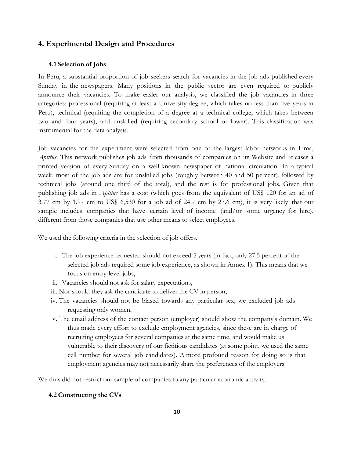#### <span id="page-9-0"></span>**4. Experimental Design and Procedures**

#### <span id="page-9-1"></span>**4.1 Selection of Jobs**

In Peru, a substantial proportion of job seekers search for vacancies in the job ads published every Sunday in the newspapers. Many positions in the public sector are even required to publicly announce their vacancies. To make easier our analysis, we classified the job vacancies in three categories: professional (requiring at least a University degree, which takes no less than five years in Peru), technical (requiring the completion of a degree at a technical college, which takes between two and four years), and unskilled (requiring secondary school or lower). This classification was instrumental for the data analysis.

Job vacancies for the experiment were selected from one of the largest labor networks in Lima, *Aptitus*. This network publishes job ads from thousands of companies on its Website and releases a printed version of every Sunday on a well-known newspaper of national circulation. In a typical week, most of the job ads are for unskilled jobs (roughly between 40 and 50 percent), followed by technical jobs (around one third of the total), and the rest is for professional jobs. Given that publishing job ads in *Aptitus* has a cost (which goes from the equivalent of US\$ 120 for an ad of 3.77 cm by 1.97 cm to US\$ 6,530 for a job ad of 24.7 cm by 27.6 cm), it is very likely that our sample includes companies that have certain level of income (and/or some urgency for hire), different from those companies that use other means to select employees.

We used the following criteria in the selection of job offers.

- i. The job experience requested should not exceed 5 years (in fact, only 27.5 percent of the selected job ads required some job experience, as shown in Annex 1). This means that we focus on entry-level jobs,
- ii. Vacancies should not ask for salary expectations,
- iii. Nor should they ask the candidate to deliver the CV in person,
- iv. The vacancies should not be biased towards any particular sex; we excluded job ads requesting only women,
- v. The email address of the contact person (employer) should show the company's domain. We thus made every effort to exclude employment agencies, since these are in charge of recruiting employees for several companies at the same time, and would make us vulnerable to their discovery of our fictitious candidates (at some point, we used the same cell number for several job candidates). A more profound reason for doing so is that employment agencies may not necessarily share the preferences of the employers.

We thus did not restrict our sample of companies to any particular economic activity.

#### <span id="page-9-2"></span>**4.2 Constructing the CVs**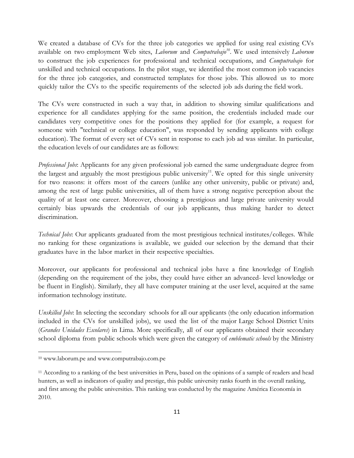We created a database of CVs for the three job categories we applied for using real existing CVs available on two employment Web sites, *Laborum* and *Computrabajo<sup>10</sup>*. We used intensively *Laborum* to construct the job experiences for professional and technical occupations, and *Computrabajo* for unskilled and technical occupations. In the pilot stage, we identified the most common job vacancies for the three job categories, and constructed templates for those jobs. This allowed us to more quickly tailor the CVs to the specific requirements of the selected job ads during the field work.

The CVs were constructed in such a way that, in addition to showing similar qualifications and experience for all candidates applying for the same position, the credentials included made our candidates very competitive ones for the positions they applied for (for example, a request for someone with "technical or college education", was responded by sending applicants with college education). The format of every set of CVs sent in response to each job ad was similar. In particular, the education levels of our candidates are as follows:

*Professional Jobs*: Applicants for any given professional job earned the same undergraduate degree from the largest and arguably the most prestigious public university<sup>11</sup>. We opted for this single university for two reasons: it offers most of the careers (unlike any other university, public or private) and, among the rest of large public universities, all of them have a strong negative perception about the quality of at least one career. Moreover, choosing a prestigious and large private university would certainly bias upwards the credentials of our job applicants, thus making harder to detect discrimination.

*Technical Jobs*: Our applicants graduated from the most prestigious technical institutes/colleges. While no ranking for these organizations is available, we guided our selection by the demand that their graduates have in the labor market in their respective specialties.

Moreover, our applicants for professional and technical jobs have a fine knowledge of English (depending on the requirement of the jobs, they could have either an advanced- level knowledge or be fluent in English). Similarly, they all have computer training at the user level, acquired at the same information technology institute.

*Unskilled Jobs*: In selecting the secondary schools for all our applicants (the only education information included in the CVs for unskilled jobs), we used the list of the major Large School District Units (*Grandes Unidades Escolares*) in Lima. More specifically, all of our applicants obtained their secondary school diploma from public schools which were given the category of *emblematic schools* by the Ministry

l

<sup>10</sup> www.laborum.pe and www.computrabajo.com.pe

<sup>11</sup> According to a ranking of the best universities in Peru, based on the opinions of a sample of readers and head hunters, as well as indicators of quality and prestige, this public university ranks fourth in the overall ranking, and first among the public universities. This ranking was conducted by the magazine América Economía in 2010.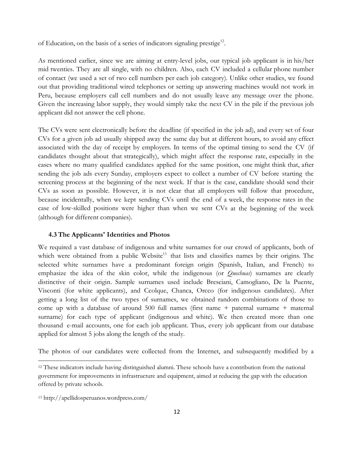of Education, on the basis of a series of indicators signaling prestige<sup>12</sup>.

As mentioned earlier, since we are aiming at entry-level jobs, our typical job applicant is in his/her mid twenties. They are all single, with no children. Also, each CV included a cellular phone number of contact (we used a set of two cell numbers per each job category). Unlike other studies, we found out that providing traditional wired telephones or setting up answering machines would not work in Peru, because employers call cell numbers and do not usually leave any message over the phone. Given the increasing labor supply, they would simply take the next CV in the pile if the previous job applicant did not answer the cell phone.

The CVs were sent electronically before the deadline (if specified in the job ad), and every set of four CVs for a given job ad usually shipped away the same day but at different hours, to avoid any effect associated with the day of receipt by employers. In terms of the optimal timing to send the CV (if candidates thought about that strategically), which might affect the response rate, especially in the cases where no many qualified candidates applied for the same position, one might think that, after sending the job ads every Sunday, employers expect to collect a number of CV before starting the screening process at the beginning of the next week. If that is the case, candidate should send their CVs as soon as possible. However, it is not clear that all employers will follow that procedure, because incidentally, when we kept sending CVs until the end of a week, the response rates in the case of low-skilled positions were higher than when we sent CVs at the beginning of the week (although for different companies).

#### <span id="page-11-0"></span>**4.3The Applicants' Identities and Photos**

We required a vast database of indigenous and white surnames for our crowd of applicants, both of which were obtained from a public Website<sup>13</sup> that lists and classifies names by their origins. The selected white surnames have a predominant foreign origin (Spanish, Italian, and French) to emphasize the idea of the skin color, while the indigenous (or *Quechuas*) surnames are clearly distinctive of their origin. Sample surnames used include Bresciani, Camogliano, De la Puente, Visconti (for white applicants), and Ccolque, Chanca, Orcco (for indigenous candidates). After getting a long list of the two types of surnames, we obtained random combinations of those to come up with a database of around 500 full names (first name + paternal surname + maternal surname) for each type of applicant (indigenous and white). We then created more than one thousand e-mail accounts, one for each job applicant. Thus, every job applicant from our database applied for almost 5 jobs along the length of the study.

The photos of our candidates were collected from the Internet, and subsequently modified by a

l

<sup>12</sup> These indicators include having distinguished alumni. These schools have a contribution from the national government for improvements in infrastructure and equipment, aimed at reducing the gap with the education offered by private schools.

<sup>13</sup> http://apellidosperuanos.wordpress.com/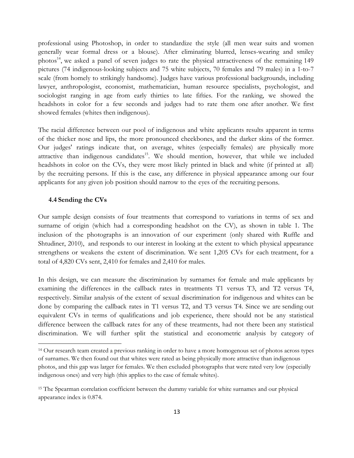professional using Photoshop, in order to standardize the style (all men wear suits and women generally wear formal dress or a blouse). After eliminating blurred, lenses-wearing and smiley photos<sup>14</sup>, we asked a panel of seven judges to rate the physical attractiveness of the remaining 149 pictures (74 indigenous-looking subjects and 75 white subjects, 70 females and 79 males) in a 1-to-7 scale (from homely to strikingly handsome). Judges have various professional backgrounds, including lawyer, anthropologist, economist, mathematician, human resource specialists, psychologist, and sociologist ranging in age from early thirties to late fifties. For the ranking, we showed the headshots in color for a few seconds and judges had to rate them one after another. We first showed females (whites then indigenous).

The racial difference between our pool of indigenous and white applicants results apparent in terms of the thicker nose and lips, the more pronounced cheekbones, and the darker skins of the former. Our judges' ratings indicate that, on average, whites (especially females) are physically more attractive than indigenous candidates<sup>15</sup>. We should mention, however, that while we included headshots in color on the CVs, they were most likely printed in black and white (if printed at all) by the recruiting persons. If this is the case, any difference in physical appearance among our four applicants for any given job position should narrow to the eyes of the recruiting persons.

#### <span id="page-12-0"></span>**4.4 Sending the CVs**

 $\overline{\phantom{a}}$ 

Our sample design consists of four treatments that correspond to variations in terms of sex and surname of origin (which had a corresponding headshot on the CV), as shown in table 1. The inclusion of the photographs is an innovation of our experiment (only shared with Ruffle and Shtudiner, 2010), and responds to our interest in looking at the extent to which physical appearance strengthens or weakens the extent of discrimination. We sent 1,205 CVs for each treatment, for a total of 4,820 CVs sent, 2,410 for females and 2,410 for males.

In this design, we can measure the discrimination by surnames for female and male applicants by examining the differences in the callback rates in treatments T1 versus T3, and T2 versus T4, respectively. Similar analysis of the extent of sexual discrimination for indigenous and whites can be done by comparing the callback rates in T1 versus T2, and T3 versus T4. Since we are sending out equivalent CVs in terms of qualifications and job experience, there should not be any statistical difference between the callback rates for any of these treatments, had not there been any statistical discrimination. We will further split the statistical and econometric analysis by category of

<sup>14</sup> Our research team created a previous ranking in order to have a more homogenous set of photos across types of surnames. We then found out that whites were rated as being physically more attractive than indigenous photos, and this gap was larger for females. We then excluded photographs that were rated very low (especially indigenous ones) and very high (this applies to the case of female whites).

<sup>&</sup>lt;sup>15</sup> The Spearman correlation coefficient between the dummy variable for white surnames and our physical appearance index is 0.874.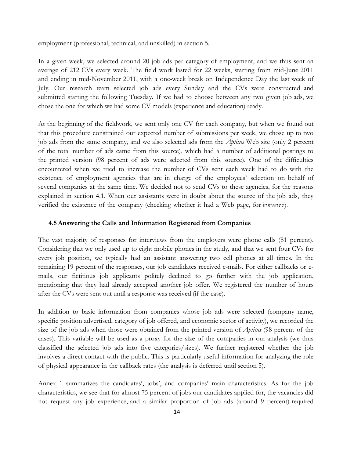employment (professional, technical, and unskilled) in section 5.

In a given week, we selected around 20 job ads per category of employment, and we thus sent an average of 212 CVs every week. The field work lasted for 22 weeks, starting from mid-June 2011 and ending in mid-November 2011, with a one-week break on Independence Day the last week of July. Our research team selected job ads every Sunday and the CVs were constructed and submitted starting the following Tuesday. If we had to choose between any two given job ads, we chose the one for which we had some CV models (experience and education) ready.

At the beginning of the fieldwork, we sent only one CV for each company, but when we found out that this procedure constrained our expected number of submissions per week, we chose up to two job ads from the same company, and we also selected ads from the *Aptitus* Web site (only 2 percent of the total number of ads came from this source), which had a number of additional postings to the printed version (98 percent of ads were selected from this source). One of the difficulties encountered when we tried to increase the number of CVs sent each week had to do with the existence of employment agencies that are in charge of the employees' selection on behalf of several companies at the same time. We decided not to send CVs to these agencies, for the reasons explained in section 4.1. When our assistants were in doubt about the source of the job ads, they verified the existence of the company (checking whether it had a Web page, for instance).

#### <span id="page-13-0"></span>**4.5 Answering the Calls and Information Registered from Companies**

The vast majority of responses for interviews from the employers were phone calls (81 percent). Considering that we only used up to eight mobile phones in the study, and that we sent four CVs for every job position, we typically had an assistant answering two cell phones at all times. In the remaining 19 percent of the responses, our job candidates received e-mails. For either callbacks or emails, our fictitious job applicants politely declined to go further with the job application, mentioning that they had already accepted another job offer. We registered the number of hours after the CVs were sent out until a response was received (if the case).

In addition to basic information from companies whose job ads were selected (company name, specific position advertised, category of job offered, and economic sector of activity), we recorded the size of the job ads when those were obtained from the printed version of *Aptitus* (98 percent of the cases). This variable will be used as a proxy for the size of the companies in our analysis (we thus classified the selected job ads into five categories/sizes). We further registered whether the job involves a direct contact with the public. This is particularly useful information for analyzing the role of physical appearance in the callback rates (the analysis is deferred until section 5).

Annex 1 summarizes the candidates', jobs', and companies' main characteristics. As for the job characteristics, we see that for almost 75 percent of jobs our candidates applied for, the vacancies did not request any job experience, and a similar proportion of job ads (around 9 percent) required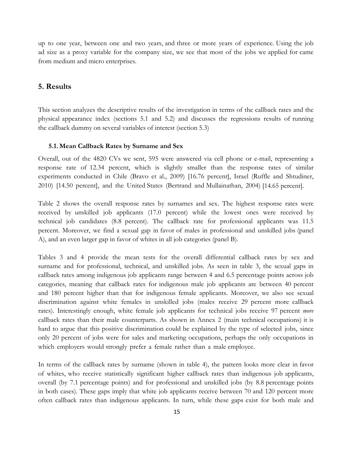up to one year, between one and two years, and three or more years of experience. Using the job ad size as a proxy variable for the company size, we see that most of the jobs we applied for came from medium and micro enterprises.

#### <span id="page-14-0"></span>**5. Results**

This section analyzes the descriptive results of the investigation in terms of the callback rates and the physical appearance index (sections 5.1 and 5.2) and discusses the regressions results of running the callback dummy on several variables of interest (section 5.3)

#### <span id="page-14-1"></span>**5.1. Mean Callback Rates by Surname and Sex**

Overall, out of the 4820 CVs we sent, 595 were answered via cell phone or e-mail, representing a response rate of 12.34 percent, which is slightly smaller than the response rates of similar experiments conducted in Chile (Bravo et al., 2009) [16.76 percent], Israel (Ruffle and Shtudiner, 2010) [14.50 percent], and the United States (Bertrand and Mullainathan, 2004) [14.65 percent].

Table 2 shows the overall response rates by surnames and sex. The highest response rates were received by unskilled job applicants (17.0 percent) while the lowest ones were received by technical job candidates (8.8 percent). The callback rate for professional applicants was 11.5 percent. Moreover, we find a sexual gap in favor of males in professional and unskilled jobs (panel A), and an even larger gap in favor of whites in all job categories (panel B).

Tables 3 and 4 provide the mean tests for the overall differential callback rates by sex and surname and for professional, technical, and unskilled jobs. As seen in table 3, the sexual gaps in callback rates among indigenous job applicants range between 4 and 6.5 percentage points across job categories, meaning that callback rates for indigenous male job applicants are between 40 percent and 180 percent higher than that for indigenous female applicants. Moreover, we also see sexual discrimination against white females in unskilled jobs (males receive 29 percent more callback rates). Interestingly enough, white female job applicants for technical jobs receive 97 percent *more* callback rates than their male counterparts. As shown in Annex 2 (main technical occupations) it is hard to argue that this positive discrimination could be explained by the type of selected jobs, since only 20 percent of jobs were for sales and marketing occupations, perhaps the only occupations in which employers would strongly prefer a female rather than a male employee.

In terms of the callback rates by surname (shown in table 4), the pattern looks more clear in favor of whites, who receive statistically significant higher callback rates than indigenous job applicants, overall (by 7.1 percentage points) and for professional and unskilled jobs (by 8.8 percentage points in both cases). These gaps imply that white job applicants receive between 70 and 120 percent more often callback rates than indigenous applicants. In turn, while these gaps exist for both male and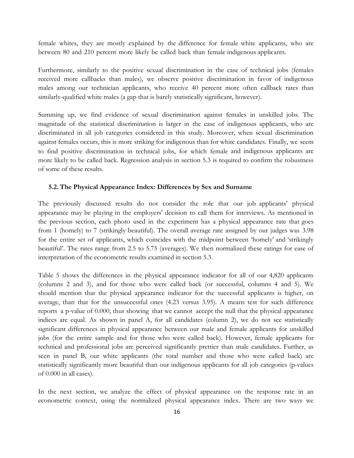female whites, they are mostly explained by the difference for female white applicants, who are between 80 and 210 percent more likely be called back than female indigenous applicants.

Furthermore, similarly to the positive sexual discrimination in the case of technical jobs (females received more callbacks than males), we observe positive discrimination in favor of indigenous males among our technician applicants, who receive 40 percent more often callback rates than similarly-qualified white males (a gap that is barely statistically significant, however).

Summing up, we find evidence of sexual discrimination against females in unskilled jobs. The magnitude of the statistical discrimination is larger in the case of indigenous applicants, who are discriminated in all job categories considered in this study. Moreover, when sexual discrimination against females occurs, this is more striking for indigenous than for white candidates. Finally, we seem to find positive discrimination in technical jobs, for which female and indigenous applicants are more likely to be called back. Regression analysis in section 5.3 is required to confirm the robustness of some of these results.

#### <span id="page-15-0"></span>**5.2.The Physical Appearance Index: Differences by Sex and Surname**

The previously discussed results do not consider the role that our job applicants" physical appearance may be playing in the employers' decision to call them for interviews. As mentioned in the previous section, each photo used in the experiment has a physical appearance rate that goes from 1 (homely) to 7 (strikingly beautiful). The overall average rate assigned by our judges was 3.98 for the entire set of applicants, which coincides with the midpoint between "homely" and "strikingly beautiful". The rates range from 2.5 to 5.75 (averages). We then normalized these ratings for ease of interpretation of the econometric results examined in section 5.3.

Table 5 shows the differences in the physical appearance indicator for all of our 4,820 applicants (columns 2 and 3), and for those who were called back (or successful, columns 4 and 5). We should mention that the physical appearance indicator for the successful applicants is higher, on average, than that for the unsuccessful ones (4.23 versus 3.95). A means test for such difference reports a p-value of 0.000, thus showing that we cannot accept the null that the physical appearance indices are equal. As shown in panel A, for all candidates (column 2), we do not see statistically significant differences in physical appearance between our male and female applicants for unskilled jobs (for the entire sample and for those who were called back). However, female applicants for technical and professional jobs are perceived significantly prettier than male candidates. Further, as seen in panel B, our white applicants (the total number and those who were called back) are statistically significantly more beautiful than our indigenous applicants for all job categories (p-values of 0.000 in all cases).

In the next section, we analyze the effect of physical appearance on the response rate in an econometric context, using the normalized physical appearance index. There are two ways we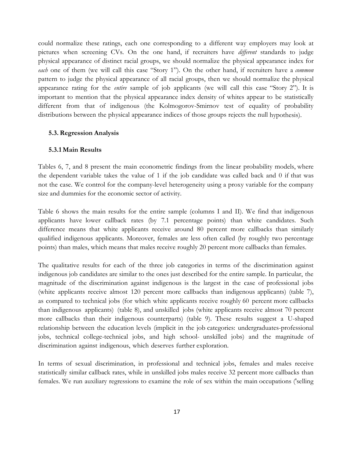could normalize these ratings, each one corresponding to a different way employers may look at pictures when screening CVs. On the one hand, if recruiters have *different* standards to judge physical appearance of distinct racial groups, we should normalize the physical appearance index for *each* one of them (we will call this case "Story 1"). On the other hand, if recruiters have a *common* pattern to judge the physical appearance of all racial groups, then we should normalize the physical appearance rating for the *entire* sample of job applicants (we will call this case "Story 2"). It is important to mention that the physical appearance index density of whites appear to be statistically different from that of indigenous (the Kolmogorov-Smirnov test of equality of probability distributions between the physical appearance indices of those groups rejects the null hypothesis).

#### <span id="page-16-0"></span>**5.3.Regression Analysis**

#### <span id="page-16-1"></span>**5.3.1 Main Results**

Tables 6, 7, and 8 present the main econometric findings from the linear probability models, where the dependent variable takes the value of 1 if the job candidate was called back and 0 if that was not the case. We control for the company-level heterogeneity using a proxy variable for the company size and dummies for the economic sector of activity.

Table 6 shows the main results for the entire sample (columns I and II). We find that indigenous applicants have lower callback rates (by 7.1 percentage points) than white candidates. Such difference means that white applicants receive around 80 percent more callbacks than similarly qualified indigenous applicants. Moreover, females are less often called (by roughly two percentage points) than males, which means that males receive roughly 20 percent more callbacks than females.

The qualitative results for each of the three job categories in terms of the discrimination against indigenous job candidates are similar to the ones just described for the entire sample. In particular, the magnitude of the discrimination against indigenous is the largest in the case of professional jobs (white applicants receive almost 120 percent more callbacks than indigenous applicants) (table 7), as compared to technical jobs (for which white applicants receive roughly 60 percent more callbacks than indigenous applicants) (table 8), and unskilled jobs (white applicants receive almost 70 percent more callbacks than their indigenous counterparts) (table 9). These results suggest a U-shaped relationship between the education levels (implicit in the job categories: undergraduates-professional jobs, technical college-technical jobs, and high school- unskilled jobs) and the magnitude of discrimination against indigenous, which deserves further exploration.

In terms of sexual discrimination, in professional and technical jobs, females and males receive statistically similar callback rates, while in unskilled jobs males receive 32 percent more callbacks than females. We run auxiliary regressions to examine the role of sex within the main occupations ('selling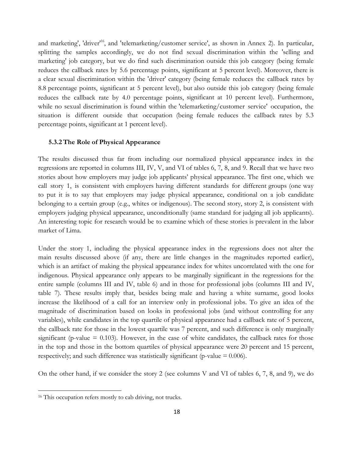and marketing', 'driver'<sup>16</sup>, and 'telemarketing/customer service', as shown in Annex 2). In particular, splitting the samples accordingly, we do not find sexual discrimination within the 'selling and marketing' job category, but we do find such discrimination outside this job category (being female reduces the callback rates by 5.6 percentage points, significant at 5 percent level). Moreover, there is a clear sexual discrimination within the 'driver' category (being female reduces the callback rates by 8.8 percentage points, significant at 5 percent level), but also outside this job category (being female reduces the callback rate by 4.0 percentage points, significant at 10 percent level). Furthermore, while no sexual discrimination is found within the 'telemarketing/customer service' occupation, the situation is different outside that occupation (being female reduces the callback rates by 5.3 percentage points, significant at 1 percent level).

#### <span id="page-17-0"></span>**5.3.2 The Role of Physical Appearance**

The results discussed thus far from including our normalized physical appearance index in the regressions are reported in columns III, IV, V, and VI of tables 6, 7, 8, and 9. Recall that we have two stories about how employers may judge job applicants" physical appearance. The first one, which we call story 1, is consistent with employers having different standards for different groups (one way to put it is to say that employers may judge physical appearance, conditional on a job candidate belonging to a certain group (e.g., whites or indigenous). The second story, story 2, is consistent with employers judging physical appearance, unconditionally (same standard for judging all job applicants). An interesting topic for research would be to examine which of these stories is prevalent in the labor market of Lima.

Under the story 1, including the physical appearance index in the regressions does not alter the main results discussed above (if any, there are little changes in the magnitudes reported earlier), which is an artifact of making the physical appearance index for whites uncorrelated with the one for indigenous. Physical appearance only appears to be marginally significant in the regressions for the entire sample (columns III and IV, table 6) and in those for professional jobs (columns III and IV, table 7). These results imply that, besides being male and having a white surname, good looks increase the likelihood of a call for an interview only in professional jobs. To give an idea of the magnitude of discrimination based on looks in professional jobs (and without controlling for any variables), while candidates in the top quartile of physical appearance had a callback rate of 5 percent, the callback rate for those in the lowest quartile was 7 percent, and such difference is only marginally significant (p-value  $= 0.103$ ). However, in the case of white candidates, the callback rates for those in the top and those in the bottom quartiles of physical appearance were 20 percent and 15 percent, respectively; and such difference was statistically significant (p-value  $= 0.006$ ).

On the other hand, if we consider the story 2 (see columns V and VI of tables 6, 7, 8, and 9), we do

 $\overline{a}$ 

<sup>&</sup>lt;sup>16</sup> This occupation refers mostly to cab driving, not trucks.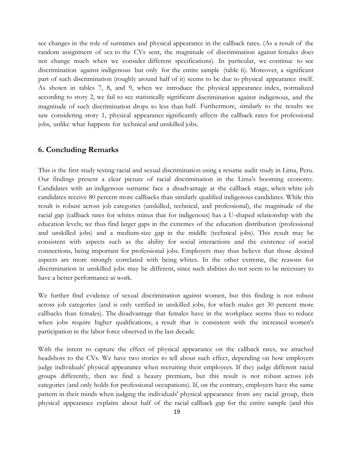see changes in the role of surnames and physical appearance in the callback rates. (As a result of the random assignment of sex to the CVs sent, the magnitude of discrimination against females does not change much when we consider different specifications). In particular, we continue to see discrimination against indigenous but only for the entire sample (table 6). Moreover, a significant part of such discrimination (roughly around half of it) seems to be due to physical appearance itself. As shown in tables 7, 8, and 9, when we introduce the physical appearance index, normalized according to story 2, we fail to see statistically significant discrimination against indigenous, and the magnitude of such discrimination drops to less than half. Furthermore, similarly to the results we saw considering story 1, physical appearance significantly affects the callback rates for professional jobs, unlike what happens for technical and unskilled jobs.

#### <span id="page-18-0"></span>**6. Concluding Remarks**

This is the first study testing racial and sexual discrimination using a resume audit study in Lima, Peru. Our findings present a clear picture of racial discrimination in the Lima's booming economy. Candidates with an indigenous surname face a disadvantage at the callback stage, when white job candidates receive 80 percent more callbacks than similarly qualified indigenous candidates. While this result is robust across job categories (unskilled, technical, and professional), the magnitude of the racial gap (callback rates for whites minus that for indigenous) has a U-shaped relationship with the education levels; we thus find larger gaps in the extremes of the education distribution (professional and unskilled jobs) and a medium-size gap in the middle (technical jobs). This result may be consistent with aspects such as the ability for social interactions and the existence of social connections, being important for professional jobs. Employers may thus believe that those desired aspects are more strongly correlated with being whites. In the other extreme, the reasons for discrimination in unskilled jobs may be different, since such abilities do not seem to be necessary to have a better performance at work.

We further find evidence of sexual discrimination against women, but this finding is not robust across job categories (and is only verified in unskilled jobs, for which males get 30 percent more callbacks than females). The disadvantage that females have in the workplace seems thus to reduce when jobs require higher qualifications, a result that is consistent with the increased women's participation in the labor force observed in the last decade.

With the intent to capture the effect of physical appearance on the callback rates, we attached headshots to the CVs. We have two stories to tell about such effect, depending on how employers judge individuals' physical appearance when recruiting their employees. If they judge different racial groups differently, then we find a beauty premium, but this result is not robust across job categories (and only holds for professional occupations). If, on the contrary, employers have the same pattern in their minds when judging the individuals' physical appearance from any racial group, then physical appearance explains about half of the racial callback gap for the entire sample (and this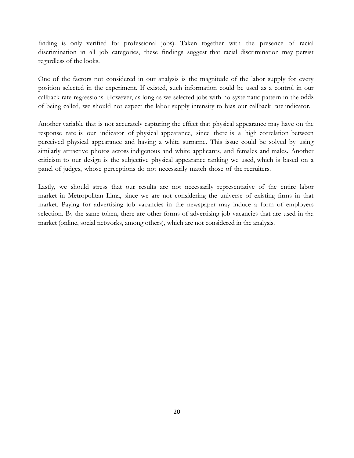finding is only verified for professional jobs). Taken together with the presence of racial discrimination in all job categories, these findings suggest that racial discrimination may persist regardless of the looks.

One of the factors not considered in our analysis is the magnitude of the labor supply for every position selected in the experiment. If existed, such information could be used as a control in our callback rate regressions. However, as long as we selected jobs with no systematic pattern in the odds of being called, we should not expect the labor supply intensity to bias our callback rate indicator.

Another variable that is not accurately capturing the effect that physical appearance may have on the response rate is our indicator of physical appearance, since there is a high correlation between perceived physical appearance and having a white surname. This issue could be solved by using similarly attractive photos across indigenous and white applicants, and females and males. Another criticism to our design is the subjective physical appearance ranking we used, which is based on a panel of judges, whose perceptions do not necessarily match those of the recruiters.

Lastly, we should stress that our results are not necessarily representative of the entire labor market in Metropolitan Lima, since we are not considering the universe of existing firms in that market. Paying for advertising job vacancies in the newspaper may induce a form of employers selection. By the same token, there are other forms of advertising job vacancies that are used in the market (online, social networks, among others), which are not considered in the analysis.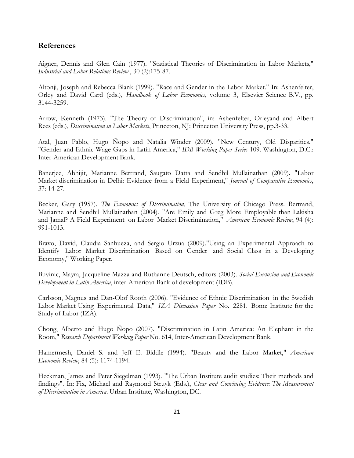#### **References**

Aigner, Dennis and Glen Cain (1977). "Statistical Theories of Discrimination in Labor Markets," *Industrial and Labor Relations Review* , 30 (2):175-87.

Altonji, Joseph and Rebecca Blank (1999). "Race and Gender in the Labor Market." In: Ashenfelter, Orley and David Card (eds.), *Handbook of Labor Economics*, volume 3, Elsevier Science B.V., pp. 3144-3259.

Arrow, Kenneth (1973). "The Theory of Discrimination", in: Ashenfelter, Orleyand and Albert Rees (eds.), *Discrimination in Labor Markets*, Princeton, NJ: Princeton University Press, pp.3-33.

Atal, Juan Pablo, Hugo Ñopo and Natalia Winder (2009). "New Century, Old Disparities." "Gender and Ethnic Wage Gaps in Latin America," *IDB Working Paper Series* 109. Washington, D.C.: Inter-American Development Bank.

Banerjee, Abhijit, Marianne Bertrand, Saugato Datta and Sendhil Mullainathan (2009). "Labor Market discrimination in Delhi: Evidence from a Field Experiment," *Journal of Comparative Economics*, 37: 14-27.

Becker, Gary (1957). *The Economics of Discrimination*, The University of Chicago Press. Bertrand, Marianne and Sendhil Mullainathan (2004). "Are Emily and Greg More Employable than Lakisha and Jamal? A Field Experiment on Labor Market Discrimination," *American Economic Review*, 94 (4): 991-1013.

Bravo, David, Claudia Sanhueza, and Sergio Urzua (2009)."Using an Experimental Approach to Identify Labor Market Discrimination Based on Gender and Social Class in a Developing Economy," Working Paper.

Buvinic, Mayra, Jacqueline Mazza and Ruthanne Deutsch, editors (2003). *Social Exclusion and Economic Development in Latin America*, inter-American Bank of development (IDB).

Carlsson, Magnus and Dan-Olof Rooth (2006). "Evidence of Ethnic Discrimination in the Swedish Labor Market Using Experimental Data," *IZA Discussion Paper* No. 2281. Bonn: Institute for the Study of Labor (IZA).

Chong, Alberto and Hugo Ñopo (2007). "Discrimination in Latin America: An Elephant in the Room," *Research Department Working Paper* No. 614, Inter-American Development Bank.

Hamermesh, Daniel S. and Jeff E. Biddle (1994). "Beauty and the Labor Market," *American Economic Review*, 84 (5): 1174-1194.

Heckman, James and Peter Siegelman (1993). "The Urban Institute audit studies: Their methods and findings". In: Fix, Michael and Raymond Struyk (Eds.), *Clear and Convincing Evidence: The Measurement of Discrimination in America*. Urban Institute, Washington, DC.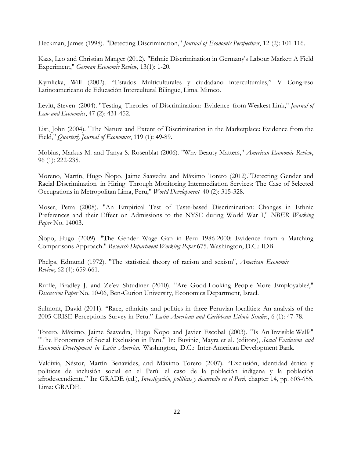Heckman, James (1998). "Detecting Discrimination," *Journal of Economic Perspectives*, 12 (2): 101-116.

Kaas, Leo and Christian Manger (2012). "Ethnic Discrimination in Germany's Labour Market: A Field Experiment," *German Economic Review*, 13(1): 1-20.

Kymlicka, Will (2002). "Estados Multiculturales y ciudadano interculturales," V Congreso Latinoamericano de Educación Intercultural Bilingüe, Lima. Mimeo.

Levitt, Steven (2004). "Testing Theories of Discrimination: Evidence from Weakest Link," *Journal of Law and Economics*, 47 (2): 431-452.

List, John (2004). "The Nature and Extent of Discrimination in the Marketplace: Evidence from the Field," *Quarterly Journal of Economics*, 119 (1): 49-89.

Mobius, Markus M. and Tanya S. Rosenblat (2006). "Why Beauty Matters," *American Economic Review*, 96 (1): 222-235.

Moreno, Martín, Hugo Ñopo, Jaime Saavedra and Máximo Torero (2012)."Detecting Gender and Racial Discrimination in Hiring Through Monitoring Intermediation Services: The Case of Selected Occupations in Metropolitan Lima, Peru," *World Development* 40 (2): 315-328.

Moser, Petra (2008). "An Empirical Test of Taste-based Discrimination: Changes in Ethnic Preferences and their Effect on Admissions to the NYSE during World War I," *NBER Working Paper* No. 14003.

Ñopo, Hugo (2009). "The Gender Wage Gap in Peru 1986-2000: Evidence from a Matching Comparisons Approach." *Research Department Working Paper* 675. Washington, D.C.: IDB.

Phelps, Edmund (1972). "The statistical theory of racism and sexism", *American Economic Review*, 62 (4): 659-661.

Ruffle, Bradley J. and Ze"ev Shtudiner (2010). "Are Good-Looking People More Employable?," *Discussion Paper* No. 10-06, Ben-Gurion University, Economics Department, Israel.

Sulmont, David (2011). "Race, ethnicity and politics in three Peruvian localities: An analysis of the 2005 CRISE Perceptions Survey in Peru." *Latin American and Caribbean Ethnic Studies*, 6 (1): 47-78.

Torero, Máximo, Jaime Saavedra, Hugo Ñopo and Javier Escobal (2003). "Is An Invisible Wall?" "The Economics of Social Exclusion in Peru." In: Buvinic, Mayra et al. (editors), *Social Exclusion and Economic Development in Latin America.* Washington, D.C.: Inter-American Development Bank.

Valdivia, Néstor, Martín Benavides, and Máximo Torero (2007). "Exclusión, identidad étnica y políticas de inclusión social en el Perú: el caso de la población indígena y la población afrodescendiente." In: GRADE (ed.), *Investigación, políticas y desarrollo en el Perú*, chapter 14, pp. 603-655. Lima: GRADE.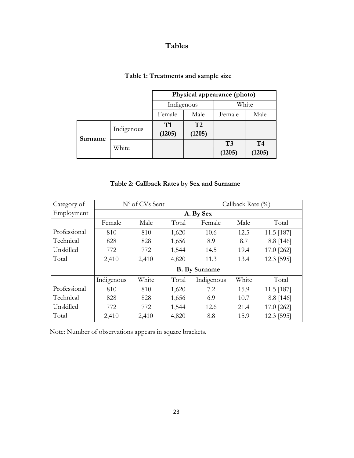## **Tables**

| Table 1: Treatments and sample size |  |  |  |  |  |
|-------------------------------------|--|--|--|--|--|
|-------------------------------------|--|--|--|--|--|

|         |            | Physical appearance (photo) |              |              |                          |  |  |
|---------|------------|-----------------------------|--------------|--------------|--------------------------|--|--|
|         |            | Indigenous                  |              | White        |                          |  |  |
|         |            | Female                      | Male         | Female       | Male                     |  |  |
| Surname | Indigenous | T1<br>(1205)                | T2<br>(1205) |              |                          |  |  |
|         | White      |                             |              | T3<br>(1205) | T <sub>4</sub><br>(1205) |  |  |

### **Table 2: Callback Rates by Sex and Surname**

| Category of  |            | N° of CVs Sent |       | Callback Rate $(\%)$ |       |              |  |  |  |  |
|--------------|------------|----------------|-------|----------------------|-------|--------------|--|--|--|--|
| Employment   |            | A. By Sex      |       |                      |       |              |  |  |  |  |
|              | Female     | Male           | Total | Female               | Male  | Total        |  |  |  |  |
| Professional | 810        | 810            | 1,620 | 10.6                 | 12.5  | 11.5 [187]   |  |  |  |  |
| Technical    | 828        | 828            | 1,656 | 8.9                  | 8.7   | 8.8 [146]    |  |  |  |  |
| Unskilled    | 772        | 772            | 1,544 | 14.5                 | 19.4  | 17.0 [262]   |  |  |  |  |
| Total        | 2,410      | 2,410          | 4,820 | 11.3                 | 13.4  | 12.3 [595]   |  |  |  |  |
|              |            |                |       | <b>B.</b> By Surname |       |              |  |  |  |  |
|              | Indigenous | White          | Total | Indigenous           | White | Total        |  |  |  |  |
| Professional | 810        | 810            | 1,620 | 7.2                  | 15.9  | $11.5$ [187] |  |  |  |  |
| Technical    | 828        | 828            | 1,656 | 6.9                  | 10.7  | 8.8 [146]    |  |  |  |  |
| Unskilled    | 772        | 772            | 1,544 | 12.6                 | 21.4  | 17.0 [262]   |  |  |  |  |
| Total        | 2,410      | 2,410          | 4,820 | 8.8                  | 15.9  | 12.3 [595]   |  |  |  |  |

Note: Number of observations appears in square brackets.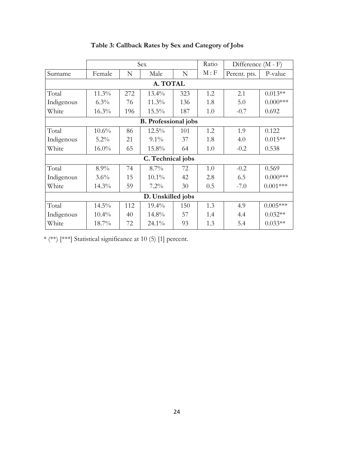|                             | Sex      |     |                   | Ratio | Difference (M - F) |              |             |  |  |  |
|-----------------------------|----------|-----|-------------------|-------|--------------------|--------------|-------------|--|--|--|
| Surname                     | Female   | N   | Male              | N     | M : F              | Percnt. pts. | P-value     |  |  |  |
| A. TOTAL                    |          |     |                   |       |                    |              |             |  |  |  |
| Total                       | $11.3\%$ | 272 | $13.4\%$          | 323   | 1.2                | 2.1          | $0.013**$   |  |  |  |
| Indigenous                  | $6.3\%$  | 76  | $11.3\%$          | 136   | 1.8                | 5.0          | $0.000$ *** |  |  |  |
| White                       | 16.3%    | 196 | 15.5%             | 187   | 1.0                | $-0.7$       | 0.692       |  |  |  |
| <b>B.</b> Professional jobs |          |     |                   |       |                    |              |             |  |  |  |
| Total                       | 10.6%    | 86  | 12.5%             | 101   | 1.2                | 1.9          | 0.122       |  |  |  |
| Indigenous                  | $5.2\%$  | 21  | $9.1\%$           | 37    | 1.8                | 4.0          | $0.015**$   |  |  |  |
| White                       | $16.0\%$ | 65  | 15.8%             | 64    | 1.0                | $-0.2$       | 0.538       |  |  |  |
|                             |          |     | C. Technical jobs |       |                    |              |             |  |  |  |
| Total                       | $8.9\%$  | 74  | $8.7\%$           | 72    | 1.0                | $-0.2$       | 0.569       |  |  |  |
| Indigenous                  | 3.6%     | 15  | $10.1\%$          | 42    | 2.8                | 6.5          | $0.000$ *** |  |  |  |
| White                       | 14.3%    | 59  | $7.2\%$           | 30    | 0.5                | $-7.0$       | $0.001***$  |  |  |  |
|                             |          |     | D. Unskilled jobs |       |                    |              |             |  |  |  |
| Total                       | 14.5%    | 112 | $19.4\%$          | 150   | 1.3                | 4.9          | $0.005***$  |  |  |  |
| Indigenous                  | 10.4%    | 40  | 14.8%             | 57    | 1.4                | 4.4          | $0.032**$   |  |  |  |
| White                       | 18.7%    | 72  | $24.1\%$          | 93    | 1.3                | 5.4          | $0.033**$   |  |  |  |

## **Table 3: Callback Rates by Sex and Category of Jobs**

\* (\*\*) [\*\*\*] Statistical significance at 10 (5) [1] percent.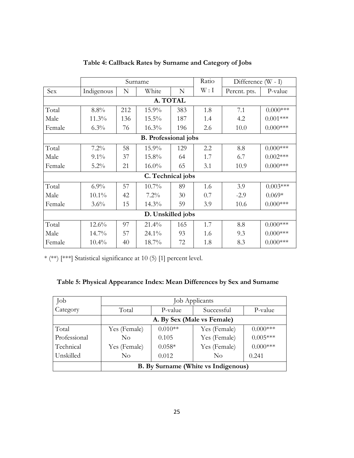|                             |            |     | Surname           | Ratio | Difference $(W - I)$ |              |             |  |  |
|-----------------------------|------------|-----|-------------------|-------|----------------------|--------------|-------------|--|--|
| Sex                         | Indigenous | N   | White             | N     | W: I                 | Percnt. pts. | P-value     |  |  |
| A. TOTAL                    |            |     |                   |       |                      |              |             |  |  |
| Total                       | $8.8\%$    | 212 | 15.9%             | 383   | 1.8                  | 7.1          | $0.000***$  |  |  |
| Male                        | 11.3%      | 136 | 15.5%             | 187   | 1.4                  | 4.2          | $0.001***$  |  |  |
| Female                      | $6.3\%$    | 76  | 16.3%             | 196   | 2.6                  | 10.0         | $0.000$ *** |  |  |
| <b>B.</b> Professional jobs |            |     |                   |       |                      |              |             |  |  |
| Total                       | $7.2\%$    | 58  | 15.9%             | 129   | 2.2                  | 8.8          | $0.000$ *** |  |  |
| Male                        | $9.1\%$    | 37  | 15.8%             | 64    | 1.7                  | 6.7          | $0.002***$  |  |  |
| Female                      | $5.2\%$    | 21  | $16.0\%$          | 65    | 3.1                  | 10.9         | $0.000$ *** |  |  |
|                             |            |     | C. Technical jobs |       |                      |              |             |  |  |
| Total                       | $6.9\%$    | 57  | $10.7\%$          | 89    | 1.6                  | 3.9          | $0.003***$  |  |  |
| Male                        | $10.1\%$   | 42  | $7.2\%$           | 30    | 0.7                  | $-2.9$       | $0.069*$    |  |  |
| Female                      | $3.6\%$    | 15  | 14.3%             | 59    | 3.9                  | 10.6         | $0.000$ *** |  |  |
|                             |            |     | D. Unskilled jobs |       |                      |              |             |  |  |
| Total                       | $12.6\%$   | 97  | 21.4%             | 165   | 1.7                  | 8.8          | $0.000***$  |  |  |
| Male                        | $14.7\%$   | 57  | $24.1\%$          | 93    | 1.6                  | 9.3          | $0.000$ *** |  |  |
| Female                      | $10.4\%$   | 40  | 18.7%             | 72    | 1.8                  | 8.3          | $0.000$ *** |  |  |

## **Table 4: Callback Rates by Surname and Category of Jobs**

\* (\*\*) [\*\*\*] Statistical significance at 10 (5) [1] percent level.

| Table 5: Physical Appearance Index: Mean Differences by Sex and Surname |  |
|-------------------------------------------------------------------------|--|
|-------------------------------------------------------------------------|--|

| Job          | Job Applicants             |           |                                     |             |  |  |  |  |
|--------------|----------------------------|-----------|-------------------------------------|-------------|--|--|--|--|
| Category     | Total                      | P-value   | Successful                          | P-value     |  |  |  |  |
|              | A. By Sex (Male vs Female) |           |                                     |             |  |  |  |  |
| Total        | Yes (Female)               | $0.010**$ | Yes (Female)                        | $0.000$ *** |  |  |  |  |
| Professional | $\rm No$                   | 0.105     | Yes (Female)                        | $0.005***$  |  |  |  |  |
| Technical    | Yes (Female)               | $0.058*$  | Yes (Female)                        | $0.000***$  |  |  |  |  |
| Unskilled    | No                         | 0.012     | No                                  | 0.241       |  |  |  |  |
|              |                            |           | B. By Surname (White vs Indigenous) |             |  |  |  |  |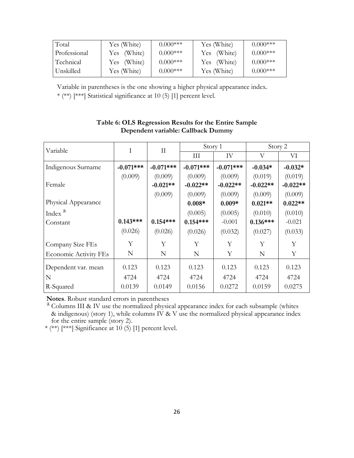| Total        | Yes (White) | $0.000$ *** | Yes (White) | $0.000***$  |
|--------------|-------------|-------------|-------------|-------------|
| Professional | Yes (White) | $0.000$ *** | Yes (White) | $0.000***$  |
| Technical    | Yes (White) | $0.000***$  | Yes (White) | $0.000***$  |
| l Unskilled- | Yes (White) | $0.000$ *** | Yes (White) | $0.000$ *** |

Variable in parentheses is the one showing a higher physical appearance index.

\* (\*\*) [\*\*\*] Statistical significance at 10 (5) [1] percent level.

| Variable                     | Ι<br>$\rm II$ |             | Story 1     |             | Story 2    |            |  |
|------------------------------|---------------|-------------|-------------|-------------|------------|------------|--|
|                              |               |             | III         | IV          | V          | VI         |  |
| Indigenous Surname           | $-0.071***$   | $-0.071***$ | $-0.071***$ | $-0.071***$ | $-0.034*$  | $-0.032*$  |  |
|                              | (0.009)       | (0.009)     | (0.009)     | (0.009)     | (0.019)    | (0.019)    |  |
| Female                       |               | $-0.021**$  | $-0.022**$  | $-0.022**$  | $-0.022**$ | $-0.022**$ |  |
|                              |               | (0.009)     | (0.009)     | (0.009)     | (0.009)    | (0.009)    |  |
| Physical Appearance          |               |             | $0.008*$    | $0.009*$    | $0.021**$  | $0.022**$  |  |
| Index <sup>a</sup>           |               |             | (0.005)     | (0.005)     | (0.010)    | (0.010)    |  |
| Constant                     | $0.143***$    | $0.154***$  | $0.154***$  | $-0.001$    | $0.136***$ | $-0.021$   |  |
|                              | (0.026)       | (0.026)     | (0.026)     | (0.032)     | (0.027)    | (0.033)    |  |
| Company Size FEs             | Υ             | Y           | Y           | Y           | Y          | Y          |  |
| <b>Economic Activity FEs</b> | N             | N           | N           | Υ           | N          | Υ          |  |
| Dependent var. mean          | 0.123         | 0.123       | 0.123       | 0.123       | 0.123      | 0.123      |  |
| N                            | 4724          | 4724        | 4724        | 4724        | 4724       | 4724       |  |
| R-Squared                    | 0.0139        | 0.0149      | 0.0156      | 0.0272      | 0.0159     | 0.0275     |  |

#### **Table 6: OLS Regression Results for the Entire Sample Dependent variable: Callback Dummy**

**Notes**. Robust standard errors in parentheses

a Columns III & IV use the normalized physical appearance index for each subsample (whites & indigenous) (story 1), while columns IV & V use the normalized physical appearance index for the entire sample (story 2).

\* (\*\*) [\*\*\*] Significance at  $10(5)$  [1] percent level.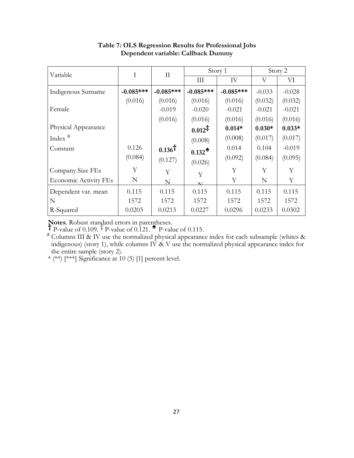| Variable                     | T           | $\mathbf{I}$      |                    | Story 1     |          | Story 2  |
|------------------------------|-------------|-------------------|--------------------|-------------|----------|----------|
|                              |             |                   | III                | IV          | V        | VI       |
| Indigenous Surname           | $-0.085***$ | $-0.085***$       | $-0.085***$        | $-0.085***$ | $-0.033$ | $-0.028$ |
|                              | (0.016)     | (0.016)           | (0.016)            | (0.016)     | (0.032)  | (0.032)  |
| Female                       |             | $-0.019$          | $-0.020$           | $-0.021$    | $-0.021$ | $-0.021$ |
|                              |             | (0.016)           | (0.016)            | (0.016)     | (0.016)  | (0.016)  |
| Physical Appearance          |             |                   | $0.012^{\ddagger}$ | $0.014*$    | $0.030*$ | $0.033*$ |
| Index <sup>a</sup>           |             |                   | (0.008)            | (0.008)     | (0.017)  | (0.017)  |
| Constant                     | 0.126       | $0.136^{\dagger}$ | $0.132^*$          | 0.014       | 0.104    | $-0.019$ |
|                              | (0.084)     | (0.127)           | (0.026)            | (0.092)     | (0.084)  | (0.095)  |
| Company Size FEs             | Υ           | Y                 | Y                  | Υ           | Y        | Y        |
| <b>Economic Activity FEs</b> | N           | N                 | NT                 | Υ           | N        | Υ        |
| Dependent var. mean          | 0.115       | 0.115             | 0.115              | 0.115       | 0.115    | 0.115    |
| N                            | 1572        | 1572              | 1572               | 1572        | 1572     | 1572     |
| R-Squared                    | 0.0203      | 0.0213            | 0.0227             | 0.0296      | 0.0233   | 0.0302   |

## **Table 7: OLS Regression Results for Professional Jobs Dependent variable: Callback Dummy**

**Notes**. Robust standard errors in parentheses.<br> **†** P-value of 0.109. <sup>‡</sup> P-value of 0.121. <sup>▲</sup> P-value of 0.115.

 $a$  Columns III & IV use the normalized physical appearance index for each subsample (whites & indigenous) (story 1), while columns IV  $\&$  V use the normalized physical appearance index for the entire sample (story 2).

\* (\*\*) [\*\*\*] Significance at 10 (5) [1] percent level.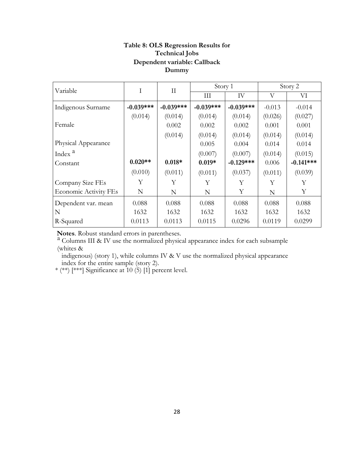#### **Table 8: OLS Regression Results for Technical Jobs Dependent variable: Callback Dummy**

| Variable                     | Ι           | П           | Story 1     |             | Story 2  |             |
|------------------------------|-------------|-------------|-------------|-------------|----------|-------------|
|                              |             |             | Ш           | IV          | V        | VI          |
| Indigenous Surname           | $-0.039***$ | $-0.039***$ | $-0.039***$ | $-0.039***$ | $-0.013$ | $-0.014$    |
|                              | (0.014)     | (0.014)     | (0.014)     | (0.014)     | (0.026)  | (0.027)     |
| Female                       |             | 0.002       | 0.002       | 0.002       | 0.001    | 0.001       |
|                              |             | (0.014)     | (0.014)     | (0.014)     | (0.014)  | (0.014)     |
| Physical Appearance          |             |             | 0.005       | 0.004       | 0.014    | 0.014       |
| Index <sup>a</sup>           |             |             | (0.007)     | (0.007)     | (0.014)  | (0.015)     |
| Constant                     | $0.020**$   | $0.018*$    | $0.019*$    | $-0.129***$ | 0.006    | $-0.141***$ |
|                              | (0.010)     | (0.011)     | (0.011)     | (0.037)     | (0.011)  | (0.039)     |
| Company Size FEs             | Υ           | Y           | Y           | Y           | Y        | Υ           |
| <b>Economic Activity FEs</b> | N           | N           | N           | Υ           | N        | Υ           |
| Dependent var. mean          | 0.088       | 0.088       | 0.088       | 0.088       | 0.088    | 0.088       |
| N                            | 1632        | 1632        | 1632        | 1632        | 1632     | 1632        |
| R-Squared                    | 0.0113      | 0.0113      | 0.0115      | 0.0296      | 0.0119   | 0.0299      |

**Notes**. Robust standard errors in parentheses.<br><sup>a</sup> Columns III & IV use the normalized physical appearance index for each subsample (whites &

indigenous) (story 1), while columns IV & V use the normalized physical appearance index for the entire sample (story 2).

\* (\*\*) [\*\*\*] Significance at  $10$  (5) [1] percent level.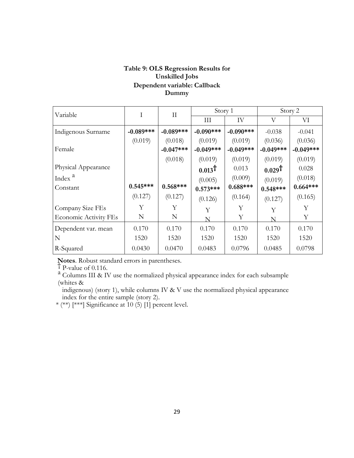## **Table 9: OLS Regression Results for Unskilled Jobs Dependent variable: Callback Dummy**

| Variable                     | Ι           | $\rm II$    | Story 1           |             | Story 2           |             |
|------------------------------|-------------|-------------|-------------------|-------------|-------------------|-------------|
|                              |             |             | Ш                 | IV          | V                 | VI          |
| Indigenous Surname           | $-0.089***$ | $-0.089***$ | $-0.090$ ***      | $-0.090***$ | $-0.038$          | $-0.041$    |
|                              | (0.019)     | (0.018)     | (0.019)           | (0.019)     | (0.036)           | (0.036)     |
| Female                       |             | $-0.047***$ | $-0.049***$       | $-0.049***$ | $-0.049***$       | $-0.049***$ |
|                              |             | (0.018)     | (0.019)           | (0.019)     | (0.019)           | (0.019)     |
| Physical Appearance          |             |             | $0.013^{\dagger}$ | 0.013       | $0.029^{\dagger}$ | 0.028       |
| Index <sup>a</sup>           |             |             | (0.005)           | (0.009)     | (0.019)           | (0.018)     |
| Constant                     | $0.545***$  | $0.568***$  | $0.573***$        | $0.688***$  | $0.548***$        | $0.664***$  |
|                              | (0.127)     | (0.127)     | (0.126)           | (0.164)     | (0.127)           | (0.165)     |
| Company Size FEs             | Y           | Υ           | Y                 | Υ           | Y                 | Υ           |
| <b>Economic Activity FEs</b> | N           | N           | N                 | Υ           | N                 | Υ           |
| Dependent var. mean          | 0.170       | 0.170       | 0.170             | 0.170       | 0.170             | 0.170       |
| N                            | 1520        | 1520        | 1520              | 1520        | 1520              | 1520        |
| R-Squared                    | 0.0430      | 0.0470      | 0.0483            | 0.0796      | 0.0485            | 0.0798      |

**Notes**. Robust standard errors in parentheses.

 $\uparrow$  P-value of 0.116.

a Columns III & IV use the normalized physical appearance index for each subsample (whites &

indigenous) (story 1), while columns IV & V use the normalized physical appearance index for the entire sample (story 2).

\* (\*\*) [\*\*\*] Significance at  $10(5)$  [1] percent level.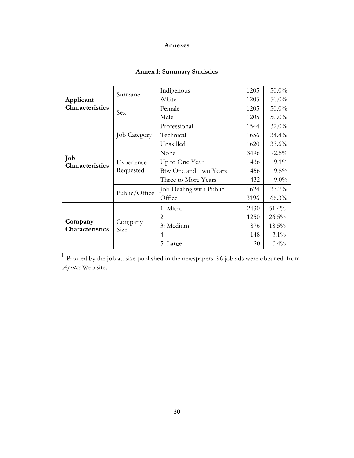#### **Annexes**

## **Annex 1: Summary Statistics**

| Applicant<br>Characteristics | Surname                 | Indigenous              | 1205 | $50.0\%$ |
|------------------------------|-------------------------|-------------------------|------|----------|
|                              |                         | White                   | 1205 | $50.0\%$ |
|                              | Sex                     | Female                  | 1205 | $50.0\%$ |
|                              |                         | Male                    | 1205 | $50.0\%$ |
| Job<br>Characteristics       | <b>Job Category</b>     | Professional            | 1544 | $32.0\%$ |
|                              |                         | Technical               | 1656 | $34.4\%$ |
|                              |                         | Unskilled               | 1620 | $33.6\%$ |
|                              | Experience<br>Requested | None                    | 3496 | $72.5\%$ |
|                              |                         | Up to One Year          | 436  | $9.1\%$  |
|                              |                         | Btw One and Two Years   | 456  | $9.5\%$  |
|                              |                         | Three to More Years     | 432  | $9.0\%$  |
|                              | Public/Office           | Job Dealing with Public | 1624 | $33.7\%$ |
|                              |                         | Office                  | 3196 | 66.3%    |
| Company<br>Characteristics   | Company<br>Size         | 1: Micro                | 2430 | $51.4\%$ |
|                              |                         | 2                       | 1250 | $26.5\%$ |
|                              |                         | 3: Medium               | 876  | 18.5%    |
|                              |                         | 4                       | 148  | $3.1\%$  |
|                              |                         | 5: Large                | 20   | $0.4\%$  |

1 Proxied by the job ad size published in the newspapers. 96 job ads were obtained from *Aptitus* Web site.